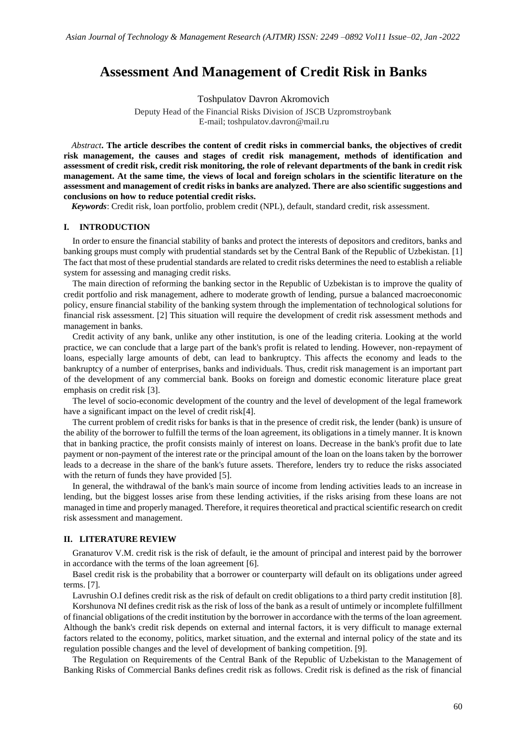# **Assessment And Management of Credit Risk in Banks**

Toshpulatov Davron Akromovich

Deputy Head of the Financial Risks Division of JSCB Uzpromstroybank E-mail; toshpulatov.davron@mail.ru

*Abstract***. The article describes the content of credit risks in commercial banks, the objectives of credit risk management, the causes and stages of credit risk management, methods of identification and assessment of credit risk, credit risk monitoring, the role of relevant departments of the bank in credit risk management. At the same time, the views of local and foreign scholars in the scientific literature on the assessment and management of credit risks in banks are analyzed. There are also scientific suggestions and conclusions on how to reduce potential credit risks.**

*Keywords*: Credit risk, loan portfolio, problem credit (NPL), default, standard credit, risk assessment.

# **I. INTRODUCTION**

In order to ensure the financial stability of banks and protect the interests of depositors and creditors, banks and banking groups must comply with prudential standards set by the Central Bank of the Republic of Uzbekistan. [1] The fact that most of these prudential standards are related to credit risks determines the need to establish a reliable system for assessing and managing credit risks.

The main direction of reforming the banking sector in the Republic of Uzbekistan is to improve the quality of credit portfolio and risk management, adhere to moderate growth of lending, pursue a balanced macroeconomic policy, ensure financial stability of the banking system through the implementation of technological solutions for financial risk assessment. [2] This situation will require the development of credit risk assessment methods and management in banks.

Credit activity of any bank, unlike any other institution, is one of the leading criteria. Looking at the world practice, we can conclude that a large part of the bank's profit is related to lending. However, non-repayment of loans, especially large amounts of debt, can lead to bankruptcy. This affects the economy and leads to the bankruptcy of a number of enterprises, banks and individuals. Thus, credit risk management is an important part of the development of any commercial bank. Books on foreign and domestic economic literature place great emphasis on credit risk [3].

The level of socio-economic development of the country and the level of development of the legal framework have a significant impact on the level of credit risk[4].

The current problem of credit risks for banks is that in the presence of credit risk, the lender (bank) is unsure of the ability of the borrower to fulfill the terms of the loan agreement, its obligations in a timely manner. It is known that in banking practice, the profit consists mainly of interest on loans. Decrease in the bank's profit due to late payment or non-payment of the interest rate or the principal amount of the loan on the loans taken by the borrower leads to a decrease in the share of the bank's future assets. Therefore, lenders try to reduce the risks associated with the return of funds they have provided [5].

In general, the withdrawal of the bank's main source of income from lending activities leads to an increase in lending, but the biggest losses arise from these lending activities, if the risks arising from these loans are not managed in time and properly managed. Therefore, it requires theoretical and practical scientific research on credit risk assessment and management.

# **II. LITERATURE REVIEW**

Granaturov V.M. credit risk is the risk of default, ie the amount of principal and interest paid by the borrower in accordance with the terms of the loan agreement [6].

Basel credit risk is the probability that a borrower or counterparty will default on its obligations under agreed terms. [7].

Lavrushin O.I defines credit risk as the risk of default on credit obligations to a third party credit institution [8].

Korshunova NI defines credit risk as the risk of loss of the bank as a result of untimely or incomplete fulfillment of financial obligations of the credit institution by the borrower in accordance with the terms of the loan agreement. Although the bank's credit risk depends on external and internal factors, it is very difficult to manage external factors related to the economy, politics, market situation, and the external and internal policy of the state and its regulation possible changes and the level of development of banking competition. [9].

The Regulation on Requirements of the Central Bank of the Republic of Uzbekistan to the Management of Banking Risks of Commercial Banks defines credit risk as follows. Credit risk is defined as the risk of financial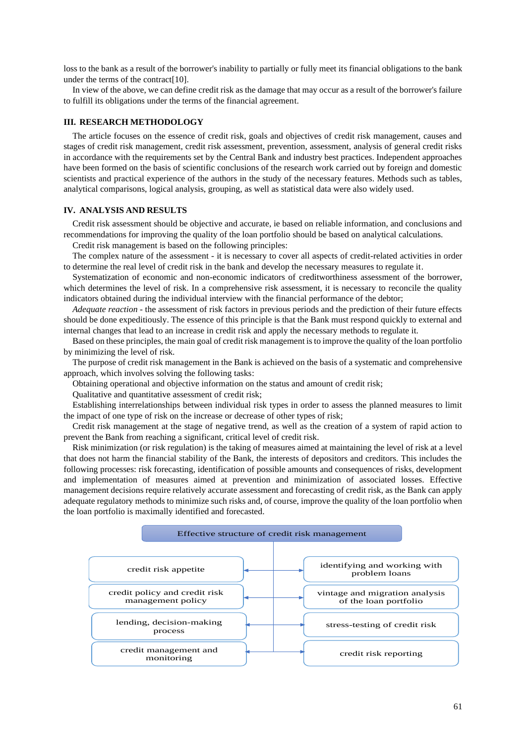loss to the bank as a result of the borrower's inability to partially or fully meet its financial obligations to the bank under the terms of the contract[10].

In view of the above, we can define credit risk as the damage that may occur as a result of the borrower's failure to fulfill its obligations under the terms of the financial agreement.

## **III. RESEARCH METHODOLOGY**

The article focuses on the essence of credit risk, goals and objectives of credit risk management, causes and stages of credit risk management, credit risk assessment, prevention, assessment, analysis of general credit risks in accordance with the requirements set by the Central Bank and industry best practices. Independent approaches have been formed on the basis of scientific conclusions of the research work carried out by foreign and domestic scientists and practical experience of the authors in the study of the necessary features. Methods such as tables, analytical comparisons, logical analysis, grouping, as well as statistical data were also widely used.

#### **IV. ANALYSIS AND RESULTS**

Credit risk assessment should be objective and accurate, ie based on reliable information, and conclusions and recommendations for improving the quality of the loan portfolio should be based on analytical calculations.

Credit risk management is based on the following principles:

The complex nature of the assessment - it is necessary to cover all aspects of credit-related activities in order to determine the real level of credit risk in the bank and develop the necessary measures to regulate it.

Systematization of economic and non-economic indicators of creditworthiness assessment of the borrower, which determines the level of risk. In a comprehensive risk assessment, it is necessary to reconcile the quality indicators obtained during the individual interview with the financial performance of the debtor;

*Adequate reaction -* the assessment of risk factors in previous periods and the prediction of their future effects should be done expeditiously. The essence of this principle is that the Bank must respond quickly to external and internal changes that lead to an increase in credit risk and apply the necessary methods to regulate it.

Based on these principles, the main goal of credit risk management is to improve the quality of the loan portfolio by minimizing the level of risk.

The purpose of credit risk management in the Bank is achieved on the basis of a systematic and comprehensive approach, which involves solving the following tasks:

Obtaining operational and objective information on the status and amount of credit risk;

Qualitative and quantitative assessment of credit risk;

Establishing interrelationships between individual risk types in order to assess the planned measures to limit the impact of one type of risk on the increase or decrease of other types of risk;

Credit risk management at the stage of negative trend, as well as the creation of a system of rapid action to prevent the Bank from reaching a significant, critical level of credit risk.

Risk minimization (or risk regulation) is the taking of measures aimed at maintaining the level of risk at a level that does not harm the financial stability of the Bank, the interests of depositors and creditors. This includes the following processes: risk forecasting, identification of possible amounts and consequences of risks, development and implementation of measures aimed at prevention and minimization of associated losses. Effective management decisions require relatively accurate assessment and forecasting of credit risk, as the Bank can apply adequate regulatory methods to minimize such risks and, of course, improve the quality of the loan portfolio when the loan portfolio is maximally identified and forecasted.

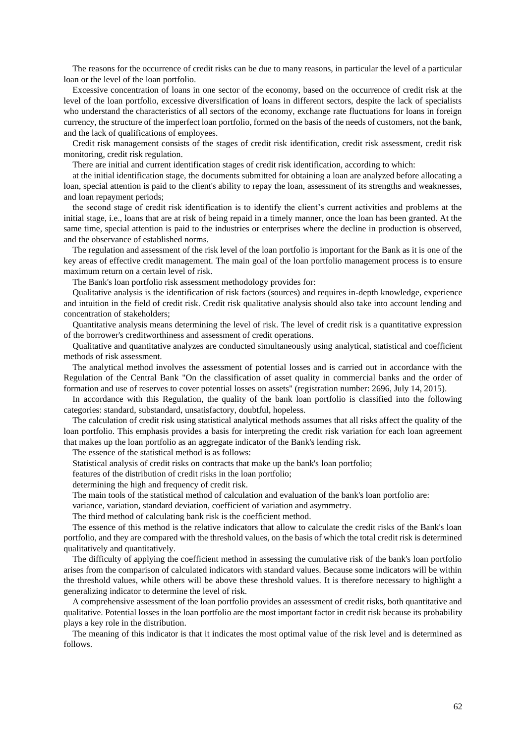The reasons for the occurrence of credit risks can be due to many reasons, in particular the level of a particular loan or the level of the loan portfolio.

Excessive concentration of loans in one sector of the economy, based on the occurrence of credit risk at the level of the loan portfolio, excessive diversification of loans in different sectors, despite the lack of specialists who understand the characteristics of all sectors of the economy, exchange rate fluctuations for loans in foreign currency, the structure of the imperfect loan portfolio, formed on the basis of the needs of customers, not the bank, and the lack of qualifications of employees.

Credit risk management consists of the stages of credit risk identification, credit risk assessment, credit risk monitoring, credit risk regulation.

There are initial and current identification stages of credit risk identification, according to which:

at the initial identification stage, the documents submitted for obtaining a loan are analyzed before allocating a loan, special attention is paid to the client's ability to repay the loan, assessment of its strengths and weaknesses, and loan repayment periods;

the second stage of credit risk identification is to identify the client's current activities and problems at the initial stage, i.e., loans that are at risk of being repaid in a timely manner, once the loan has been granted. At the same time, special attention is paid to the industries or enterprises where the decline in production is observed, and the observance of established norms.

The regulation and assessment of the risk level of the loan portfolio is important for the Bank as it is one of the key areas of effective credit management. The main goal of the loan portfolio management process is to ensure maximum return on a certain level of risk.

The Bank's loan portfolio risk assessment methodology provides for:

Qualitative analysis is the identification of risk factors (sources) and requires in-depth knowledge, experience and intuition in the field of credit risk. Credit risk qualitative analysis should also take into account lending and concentration of stakeholders;

Quantitative analysis means determining the level of risk. The level of credit risk is a quantitative expression of the borrower's creditworthiness and assessment of credit operations.

Qualitative and quantitative analyzes are conducted simultaneously using analytical, statistical and coefficient methods of risk assessment.

The analytical method involves the assessment of potential losses and is carried out in accordance with the Regulation of the Central Bank "On the classification of asset quality in commercial banks and the order of formation and use of reserves to cover potential losses on assets" (registration number: 2696, July 14, 2015).

In accordance with this Regulation, the quality of the bank loan portfolio is classified into the following categories: standard, substandard, unsatisfactory, doubtful, hopeless.

The calculation of credit risk using statistical analytical methods assumes that all risks affect the quality of the loan portfolio. This emphasis provides a basis for interpreting the credit risk variation for each loan agreement that makes up the loan portfolio as an aggregate indicator of the Bank's lending risk.

The essence of the statistical method is as follows:

Statistical analysis of credit risks on contracts that make up the bank's loan portfolio;

features of the distribution of credit risks in the loan portfolio;

determining the high and frequency of credit risk.

The main tools of the statistical method of calculation and evaluation of the bank's loan portfolio are:

variance, variation, standard deviation, coefficient of variation and asymmetry.

The third method of calculating bank risk is the coefficient method.

The essence of this method is the relative indicators that allow to calculate the credit risks of the Bank's loan portfolio, and they are compared with the threshold values, on the basis of which the total credit risk is determined qualitatively and quantitatively.

The difficulty of applying the coefficient method in assessing the cumulative risk of the bank's loan portfolio arises from the comparison of calculated indicators with standard values. Because some indicators will be within the threshold values, while others will be above these threshold values. It is therefore necessary to highlight a generalizing indicator to determine the level of risk.

A comprehensive assessment of the loan portfolio provides an assessment of credit risks, both quantitative and qualitative. Potential losses in the loan portfolio are the most important factor in credit risk because its probability plays a key role in the distribution.

The meaning of this indicator is that it indicates the most optimal value of the risk level and is determined as follows.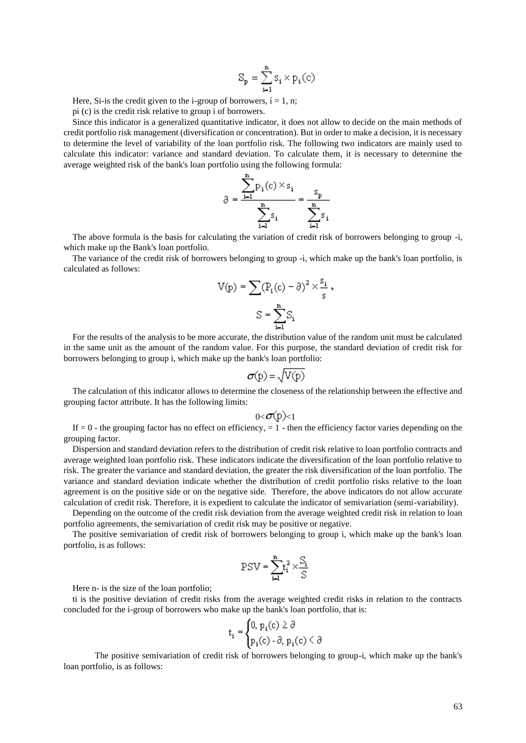$$
S_p = \sum_{i=1}^n s_i \times p_i(c)
$$

Here, Si-is the credit given to the i-group of borrowers,  $i = 1, n$ ;

pi (c) is the credit risk relative to group i of borrowers.

Since this indicator is a generalized quantitative indicator, it does not allow to decide on the main methods of credit portfolio risk management (diversification or concentration). But in order to make a decision, it is necessary to determine the level of variability of the loan portfolio risk. The following two indicators are mainly used to calculate this indicator: variance and standard deviation. To calculate them, it is necessary to determine the average weighted risk of the bank's loan portfolio using the following formula:

$$
\partial = \frac{\sum_{i=1}^{n} p_i(c) \times s_i}{\sum_{i=1}^{n} s_i} = \frac{s_p}{\sum_{i=1}^{n} s_i}
$$

The above formula is the basis for calculating the variation of credit risk of borrowers belonging to group -i, which make up the Bank's loan portfolio.

The variance of the credit risk of borrowers belonging to group -i, which make up the bank's loan portfolio, is calculated as follows:

$$
V(p) = \sum (P_i(c) - \partial)^2 \times \frac{s_i}{s},
$$
  

$$
S = \sum_{i=1}^n S_i
$$

For the results of the analysis to be more accurate, the distribution value of the random unit must be calculated in the same unit as the amount of the random value. For this purpose, the standard deviation of credit risk for borrowers belonging to group i, which make up the bank's loan portfolio:

$$
\sigma(p) = \sqrt{V(p)}
$$

The calculation of this indicator allows to determine the closeness of the relationship between the effective and grouping factor attribute. It has the following limits:

$$
0<\sigma(p)<1
$$

If  $= 0$  - the grouping factor has no effect on efficiency,  $= 1$  - then the efficiency factor varies depending on the grouping factor.

Dispersion and standard deviation refers to the distribution of credit risk relative to loan portfolio contracts and average weighted loan portfolio risk. These indicators indicate the diversification of the loan portfolio relative to risk. The greater the variance and standard deviation, the greater the risk diversification of the loan portfolio. The variance and standard deviation indicate whether the distribution of credit portfolio risks relative to the loan agreement is on the positive side or on the negative side. Therefore, the above indicators do not allow accurate calculation of credit risk. Therefore, it is expedient to calculate the indicator of semivariation (semi-variability).

Depending on the outcome of the credit risk deviation from the average weighted credit risk in relation to loan portfolio agreements, the semivariation of credit risk may be positive or negative.

The positive semivariation of credit risk of borrowers belonging to group i, which make up the bank's loan portfolio, is as follows:

$$
PSV = \sum_{i=1}^{n} t_i^2 \times \frac{S_i}{S}
$$

Here n- is the size of the loan portfolio;

ti is the positive deviation of credit risks from the average weighted credit risks in relation to the contracts concluded for the i-group of borrowers who make up the bank's loan portfolio, that is:

$$
t_i = \begin{cases} 0, p_i(c) \ge \partial \\ p_i(c) \cdot \partial, p_i(c) \le \partial \end{cases}
$$

The positive semivariation of credit risk of borrowers belonging to group-i, which make up the bank's loan portfolio, is as follows: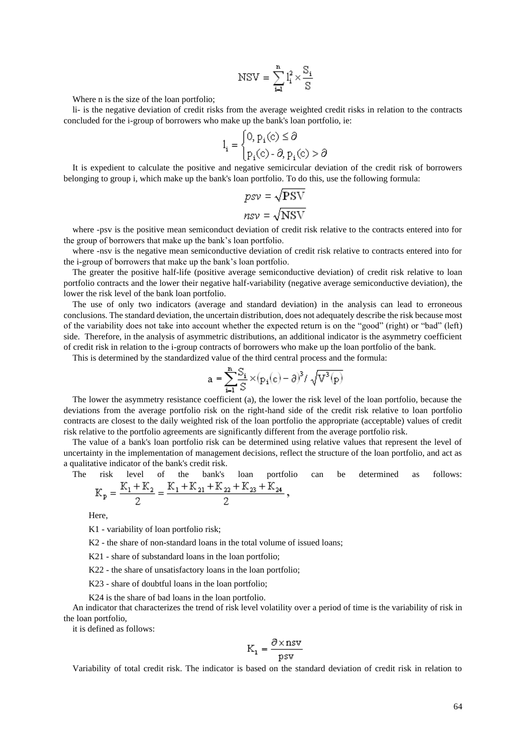$$
NSV = \sum_{i=1}^{n} l_i^2 \times \frac{S_i}{S}
$$

Where n is the size of the loan portfolio;

li- is the negative deviation of credit risks from the average weighted credit risks in relation to the contracts concluded for the i-group of borrowers who make up the bank's loan portfolio, ie:

$$
l_i = \begin{cases} 0, p_i(c) \le \partial \\ p_i(c) - \partial, p_i(c) > \partial \end{cases}
$$

It is expedient to calculate the positive and negative semicircular deviation of the credit risk of borrowers belonging to group i, which make up the bank's loan portfolio. To do this, use the following formula:

$$
psv = \sqrt{PSV}
$$

$$
nsv = \sqrt{NSV}
$$

where -psv is the positive mean semiconduct deviation of credit risk relative to the contracts entered into for the group of borrowers that make up the bank's loan portfolio.

where -nsv is the negative mean semiconductive deviation of credit risk relative to contracts entered into for the i-group of borrowers that make up the bank's loan portfolio.

The greater the positive half-life (positive average semiconductive deviation) of credit risk relative to loan portfolio contracts and the lower their negative half-variability (negative average semiconductive deviation), the lower the risk level of the bank loan portfolio.

The use of only two indicators (average and standard deviation) in the analysis can lead to erroneous conclusions. The standard deviation, the uncertain distribution, does not adequately describe the risk because most of the variability does not take into account whether the expected return is on the "good" (right) or "bad" (left) side. Therefore, in the analysis of asymmetric distributions, an additional indicator is the asymmetry coefficient of credit risk in relation to the i-group contracts of borrowers who make up the loan portfolio of the bank.

This is determined by the standardized value of the third central process and the formula:

$$
a = \sum_{i=1}^{n} \frac{S_i}{S} \times (p_i(c) - \partial)^3 / \sqrt{V^3(p)}
$$

The lower the asymmetry resistance coefficient (a), the lower the risk level of the loan portfolio, because the deviations from the average portfolio risk on the right-hand side of the credit risk relative to loan portfolio contracts are closest to the daily weighted risk of the loan portfolio the appropriate (acceptable) values of credit risk relative to the portfolio agreements are significantly different from the average portfolio risk.

The value of a bank's loan portfolio risk can be determined using relative values that represent the level of uncertainty in the implementation of management decisions, reflect the structure of the loan portfolio, and act as a qualitative indicator of the bank's credit risk.

The risk level of the bank's loan portfolio can be determined as follows:  $K_1 + K_2 = K_1 + K_2 + K_2 + K_3 + K_4$  $\overline{\mathbf{K}}$ 

$$
P_{\rm p} = \frac{P_{\rm p} + P_{\rm p}q}{2} = \frac{P_{\rm p} + P_{\rm p}q + P_{\rm p}q + P_{\rm p}q}{2}
$$

Here,

K1 - variability of loan portfolio risk;

K2 - the share of non-standard loans in the total volume of issued loans;

K21 - share of substandard loans in the loan portfolio;

K22 - the share of unsatisfactory loans in the loan portfolio;

K23 - share of doubtful loans in the loan portfolio;

K24 is the share of bad loans in the loan portfolio.

An indicator that characterizes the trend of risk level volatility over a period of time is the variability of risk in the loan portfolio,

it is defined as follows:

$$
K_1 = \frac{\partial \times nsv}{psv}
$$

Variability of total credit risk. The indicator is based on the standard deviation of credit risk in relation to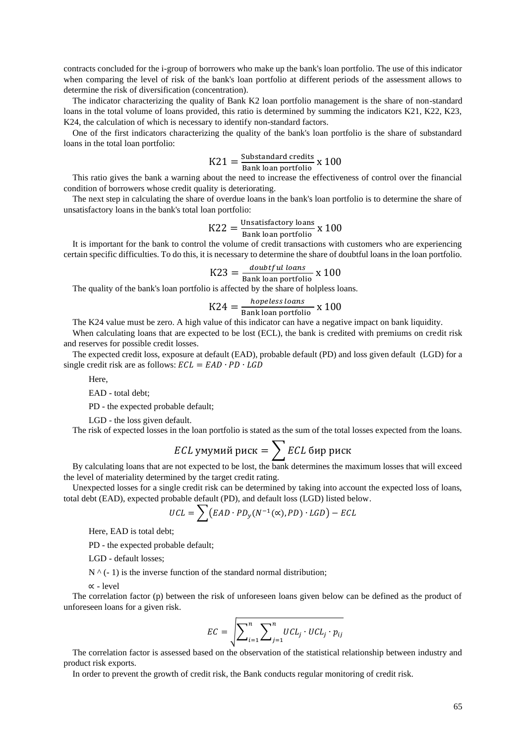contracts concluded for the i-group of borrowers who make up the bank's loan portfolio. The use of this indicator when comparing the level of risk of the bank's loan portfolio at different periods of the assessment allows to determine the risk of diversification (concentration).

The indicator characterizing the quality of Bank K2 loan portfolio management is the share of non-standard loans in the total volume of loans provided, this ratio is determined by summing the indicators K21, K22, K23, K24, the calculation of which is necessary to identify non-standard factors.

One of the first indicators characterizing the quality of the bank's loan portfolio is the share of substandard loans in the total loan portfolio:

$$
K21 = \frac{\text{Substandard credits}}{\text{Bank loan portfolio}} \times 100
$$

This ratio gives the bank a warning about the need to increase the effectiveness of control over the financial condition of borrowers whose credit quality is deteriorating.

The next step in calculating the share of overdue loans in the bank's loan portfolio is to determine the share of unsatisfactory loans in the bank's total loan portfolio:

$$
K22 = \frac{\text{Unsatisfactory loans}}{\text{Bank loan portfolio}} \times 100
$$

It is important for the bank to control the volume of credit transactions with customers who are experiencing certain specific difficulties. To do this, it is necessary to determine the share of doubtful loans in the loan portfolio.

$$
K23 = \frac{doubtful\ loans}{Bank\ loan\ portfolio} \times 100
$$

The quality of the bank's loan portfolio is affected by the share of holpless loans.

$$
K24 = \frac{hopeless\,loans}{Bank\,loan\,portfolio} \times 100
$$

The K24 value must be zero. A high value of this indicator can have a negative impact on bank liquidity.

When calculating loans that are expected to be lost (ECL), the bank is credited with premiums on credit risk and reserves for possible credit losses.

The expected credit loss, exposure at default (EAD), probable default (PD) and loss given default (LGD) for a single credit risk are as follows:  $ECL = EAD \cdot PD \cdot LGD$ 

Here,

EAD - total debt;

PD - the expected probable default;

LGD - the loss given default.

The risk of expected losses in the loan portfolio is stated as the sum of the total losses expected from the loans.

*ECL* умумий риск = 
$$
\sum
$$
 *ECL* бир риск

By calculating loans that are not expected to be lost, the bank determines the maximum losses that will exceed the level of materiality determined by the target credit rating.

Unexpected losses for a single credit risk can be determined by taking into account the expected loss of loans, total debt (EAD), expected probable default (PD), and default loss (LGD) listed below.

$$
UCL = \sum (EAD \cdot PD_y(N^{-1}(\alpha), PD) \cdot LGD) - ECL
$$

Here, EAD is total debt;

PD - the expected probable default;

LGD - default losses;

 $N^{\wedge}$  (- 1) is the inverse function of the standard normal distribution;

∝ - level

The correlation factor (p) between the risk of unforeseen loans given below can be defined as the product of unforeseen loans for a given risk.

$$
EC = \sqrt{\sum_{i=1}^{n} \sum_{j=1}^{n} UCL_j \cdot UCL_j \cdot p_{ij}}
$$

The correlation factor is assessed based on the observation of the statistical relationship between industry and product risk exports.

In order to prevent the growth of credit risk, the Bank conducts regular monitoring of credit risk.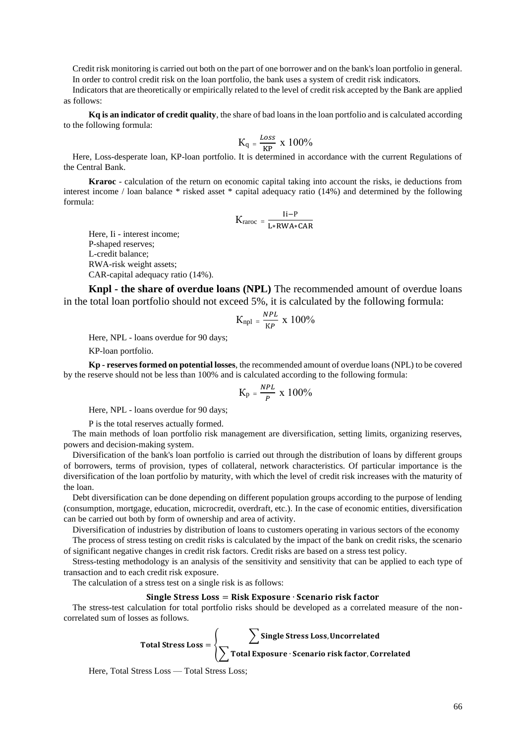Credit risk monitoring is carried out both on the part of one borrower and on the bank's loan portfolio in general. In order to control credit risk on the loan portfolio, the bank uses a system of credit risk indicators.

Indicators that are theoretically or empirically related to the level of credit risk accepted by the Bank are applied as follows:

**Kq is an indicator of credit quality**, the share of bad loans in the loan portfolio and is calculated according to the following formula:

$$
K_q = \frac{\text{Loss}}{\text{KP}} \times 100\%
$$

Here, Loss-desperate loan, KP-loan portfolio. It is determined in accordance with the current Regulations of the Central Bank.

**Kraroc** - calculation of the return on economic capital taking into account the risks, ie deductions from interest income / loan balance \* risked asset \* capital adequacy ratio (14%) and determined by the following formula:

$$
K_{raroc} = \frac{I\dot{i} - P}{L*RWA*CAR}
$$

Here, Ii - interest income; P-shaped reserves; L-credit balance; RWA-risk weight assets; CAR-capital adequacy ratio (14%).

**Knpl - the share of overdue loans (NPL)** The recommended amount of overdue loans in the total loan portfolio should not exceed 5%, it is calculated by the following formula:

$$
K_{npl}=\frac{\mathit{NPL}}{\mathit{KP}}\,\,x\,\,100\%
$$

Here, NPL - loans overdue for 90 days;

KP-loan portfolio.

**Kp - reserves formed on potential losses**, the recommended amount of overdue loans (NPL) to be covered by the reserve should not be less than 100% and is calculated according to the following formula:

$$
K_p\,=\,\frac{\mathit{NPL}}{\mathit{P}}\,\;x\,\;100\%
$$

Here, NPL - loans overdue for 90 days;

P is the total reserves actually formed.

The main methods of loan portfolio risk management are diversification, setting limits, organizing reserves, powers and decision-making system.

Diversification of the bank's loan portfolio is carried out through the distribution of loans by different groups of borrowers, terms of provision, types of collateral, network characteristics. Of particular importance is the diversification of the loan portfolio by maturity, with which the level of credit risk increases with the maturity of the loan.

Debt diversification can be done depending on different population groups according to the purpose of lending (consumption, mortgage, education, microcredit, overdraft, etc.). In the case of economic entities, diversification can be carried out both by form of ownership and area of activity.

Diversification of industries by distribution of loans to customers operating in various sectors of the economy The process of stress testing on credit risks is calculated by the impact of the bank on credit risks, the scenario

of significant negative changes in credit risk factors. Credit risks are based on a stress test policy.

Stress-testing methodology is an analysis of the sensitivity and sensitivity that can be applied to each type of transaction and to each credit risk exposure.

The calculation of a stress test on a single risk is as follows:

## Single Stress Loss =  $Risk$  Exposure  $\cdot$  Scenario risk factor

The stress-test calculation for total portfolio risks should be developed as a correlated measure of the noncorrelated sum of losses as follows.

$$
Total Stress Loss = \left\{\sum \frac{\sum \text{Single Stress Loss, Uncorrelated}}{\sum \text{Total Exposure} \cdot \text{Scenario risk factor, Correlated}}\right\}
$$

Here, Total Stress Loss — Total Stress Loss;